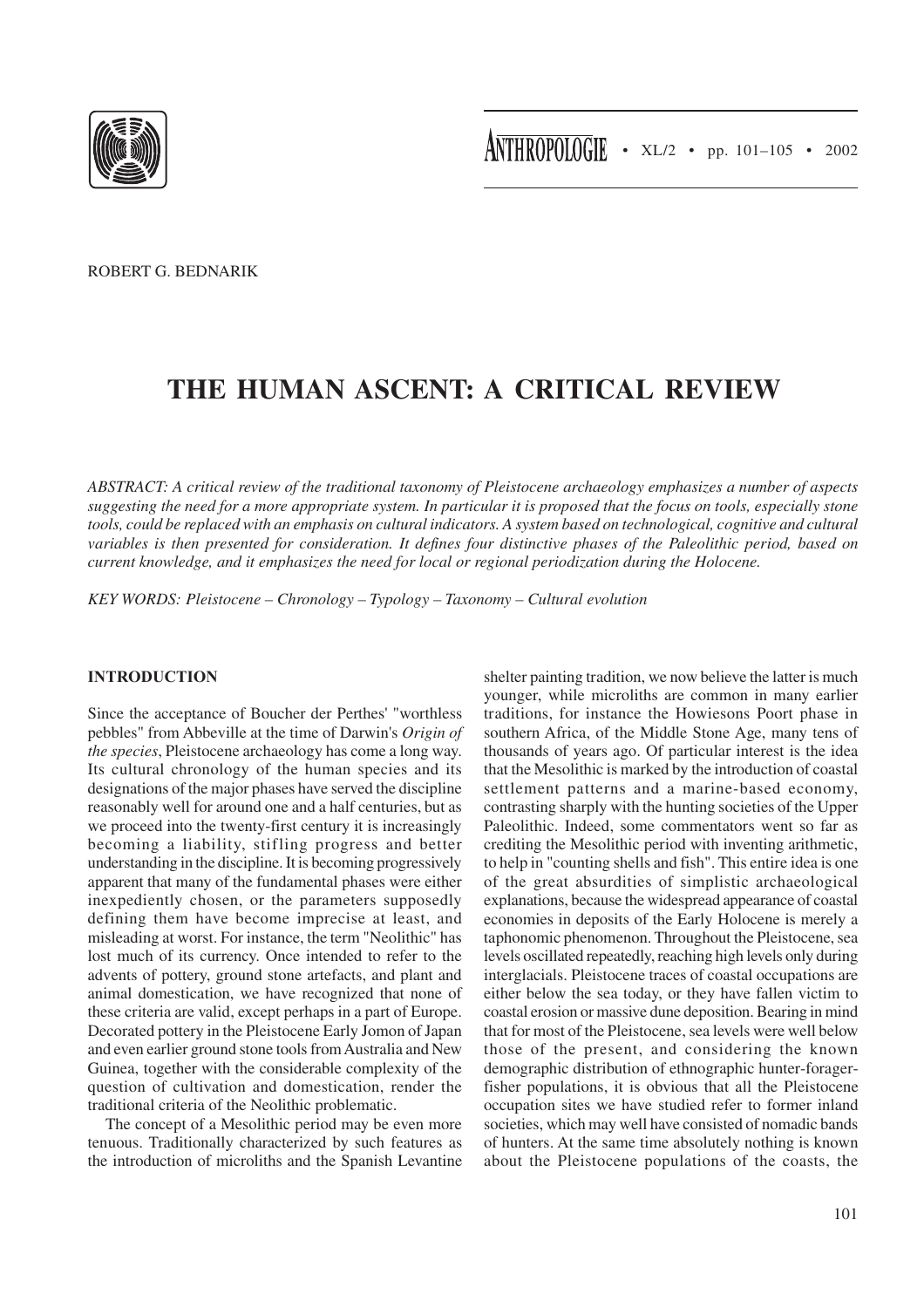

ROBERT G. BEDNARIK

# **THE HUMAN ASCENT: A CRITICAL REVIEW**

*ABSTRACT: A critical review of the traditional taxonomy of Pleistocene archaeology emphasizes a number of aspects suggesting the need for a more appropriate system. In particular it is proposed that the focus on tools, especially stone tools, could be replaced with an emphasis on cultural indicators. A system based on technological, cognitive and cultural variables is then presented for consideration. It defines four distinctive phases of the Paleolithic period, based on current knowledge, and it emphasizes the need for local or regional periodization during the Holocene.*

*KEY WORDS: Pleistocene – Chronology – Typology – Taxonomy – Cultural evolution*

# **INTRODUCTION**

Since the acceptance of Boucher der Perthes' "worthless pebbles" from Abbeville at the time of Darwin's *Origin of the species*, Pleistocene archaeology has come a long way. Its cultural chronology of the human species and its designations of the major phases have served the discipline reasonably well for around one and a half centuries, but as we proceed into the twenty-first century it is increasingly becoming a liability, stifling progress and better understanding in the discipline. It is becoming progressively apparent that many of the fundamental phases were either inexpediently chosen, or the parameters supposedly defining them have become imprecise at least, and misleading at worst. For instance, the term "Neolithic" has lost much of its currency. Once intended to refer to the advents of pottery, ground stone artefacts, and plant and animal domestication, we have recognized that none of these criteria are valid, except perhaps in a part of Europe. Decorated pottery in the Pleistocene Early Jomon of Japan and even earlier ground stone tools from Australia and New Guinea, together with the considerable complexity of the question of cultivation and domestication, render the traditional criteria of the Neolithic problematic.

The concept of a Mesolithic period may be even more tenuous. Traditionally characterized by such features as the introduction of microliths and the Spanish Levantine shelter painting tradition, we now believe the latter is much younger, while microliths are common in many earlier traditions, for instance the Howiesons Poort phase in southern Africa, of the Middle Stone Age, many tens of thousands of years ago. Of particular interest is the idea that the Mesolithic is marked by the introduction of coastal settlement patterns and a marine-based economy, contrasting sharply with the hunting societies of the Upper Paleolithic. Indeed, some commentators went so far as crediting the Mesolithic period with inventing arithmetic, to help in "counting shells and fish". This entire idea is one of the great absurdities of simplistic archaeological explanations, because the widespread appearance of coastal economies in deposits of the Early Holocene is merely a taphonomic phenomenon. Throughout the Pleistocene, sea levels oscillated repeatedly, reaching high levels only during interglacials. Pleistocene traces of coastal occupations are either below the sea today, or they have fallen victim to coastal erosion or massive dune deposition. Bearing in mind that for most of the Pleistocene, sea levels were well below those of the present, and considering the known demographic distribution of ethnographic hunter-foragerfisher populations, it is obvious that all the Pleistocene occupation sites we have studied refer to former inland societies, which may well have consisted of nomadic bands of hunters. At the same time absolutely nothing is known about the Pleistocene populations of the coasts, the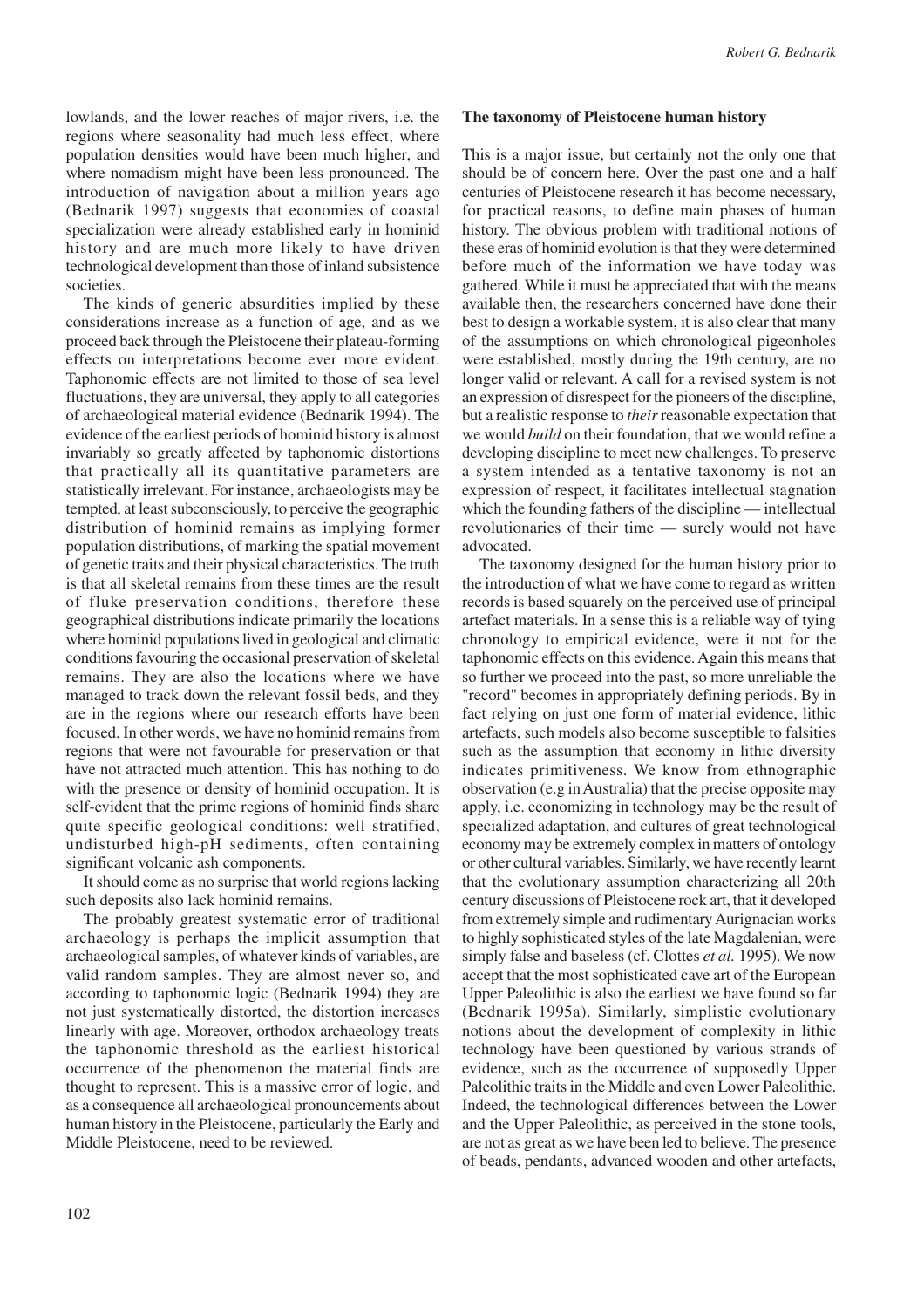lowlands, and the lower reaches of major rivers, i.e. the regions where seasonality had much less effect, where population densities would have been much higher, and where nomadism might have been less pronounced. The introduction of navigation about a million years ago (Bednarik 1997) suggests that economies of coastal specialization were already established early in hominid history and are much more likely to have driven technological development than those of inland subsistence societies.

The kinds of generic absurdities implied by these considerations increase as a function of age, and as we proceed back through the Pleistocene their plateau-forming effects on interpretations become ever more evident. Taphonomic effects are not limited to those of sea level fluctuations, they are universal, they apply to all categories of archaeological material evidence (Bednarik 1994). The evidence of the earliest periods of hominid history is almost invariably so greatly affected by taphonomic distortions that practically all its quantitative parameters are statistically irrelevant. For instance, archaeologists may be tempted, at least subconsciously, to perceive the geographic distribution of hominid remains as implying former population distributions, of marking the spatial movement of genetic traits and their physical characteristics. The truth is that all skeletal remains from these times are the result of fluke preservation conditions, therefore these geographical distributions indicate primarily the locations where hominid populations lived in geological and climatic conditions favouring the occasional preservation of skeletal remains. They are also the locations where we have managed to track down the relevant fossil beds, and they are in the regions where our research efforts have been focused. In other words, we have no hominid remains from regions that were not favourable for preservation or that have not attracted much attention. This has nothing to do with the presence or density of hominid occupation. It is self-evident that the prime regions of hominid finds share quite specific geological conditions: well stratified, undisturbed high-pH sediments, often containing significant volcanic ash components.

It should come as no surprise that world regions lacking such deposits also lack hominid remains.

The probably greatest systematic error of traditional archaeology is perhaps the implicit assumption that archaeological samples, of whatever kinds of variables, are valid random samples. They are almost never so, and according to taphonomic logic (Bednarik 1994) they are not just systematically distorted, the distortion increases linearly with age. Moreover, orthodox archaeology treats the taphonomic threshold as the earliest historical occurrence of the phenomenon the material finds are thought to represent. This is a massive error of logic, and as a consequence all archaeological pronouncements about human history in the Pleistocene, particularly the Early and Middle Pleistocene, need to be reviewed.

#### **The taxonomy of Pleistocene human history**

This is a major issue, but certainly not the only one that should be of concern here. Over the past one and a half centuries of Pleistocene research it has become necessary, for practical reasons, to define main phases of human history. The obvious problem with traditional notions of these eras of hominid evolution is that they were determined before much of the information we have today was gathered. While it must be appreciated that with the means available then, the researchers concerned have done their best to design a workable system, it is also clear that many of the assumptions on which chronological pigeonholes were established, mostly during the 19th century, are no longer valid or relevant. A call for a revised system is not an expression of disrespect for the pioneers of the discipline, but a realistic response to *their* reasonable expectation that we would *build* on their foundation, that we would refine a developing discipline to meet new challenges. To preserve a system intended as a tentative taxonomy is not an expression of respect, it facilitates intellectual stagnation which the founding fathers of the discipline — intellectual revolutionaries of their time — surely would not have advocated.

The taxonomy designed for the human history prior to the introduction of what we have come to regard as written records is based squarely on the perceived use of principal artefact materials. In a sense this is a reliable way of tying chronology to empirical evidence, were it not for the taphonomic effects on this evidence. Again this means that so further we proceed into the past, so more unreliable the "record" becomes in appropriately defining periods. By in fact relying on just one form of material evidence, lithic artefacts, such models also become susceptible to falsities such as the assumption that economy in lithic diversity indicates primitiveness. We know from ethnographic observation (e.g in Australia) that the precise opposite may apply, i.e. economizing in technology may be the result of specialized adaptation, and cultures of great technological economy may be extremely complex in matters of ontology or other cultural variables. Similarly, we have recently learnt that the evolutionary assumption characterizing all 20th century discussions of Pleistocene rock art, that it developed from extremely simple and rudimentary Aurignacian works to highly sophisticated styles of the late Magdalenian, were simply false and baseless (cf. Clottes *et al.* 1995). We now accept that the most sophisticated cave art of the European Upper Paleolithic is also the earliest we have found so far (Bednarik 1995a). Similarly, simplistic evolutionary notions about the development of complexity in lithic technology have been questioned by various strands of evidence, such as the occurrence of supposedly Upper Paleolithic traits in the Middle and even Lower Paleolithic. Indeed, the technological differences between the Lower and the Upper Paleolithic, as perceived in the stone tools, are not as great as we have been led to believe. The presence of beads, pendants, advanced wooden and other artefacts,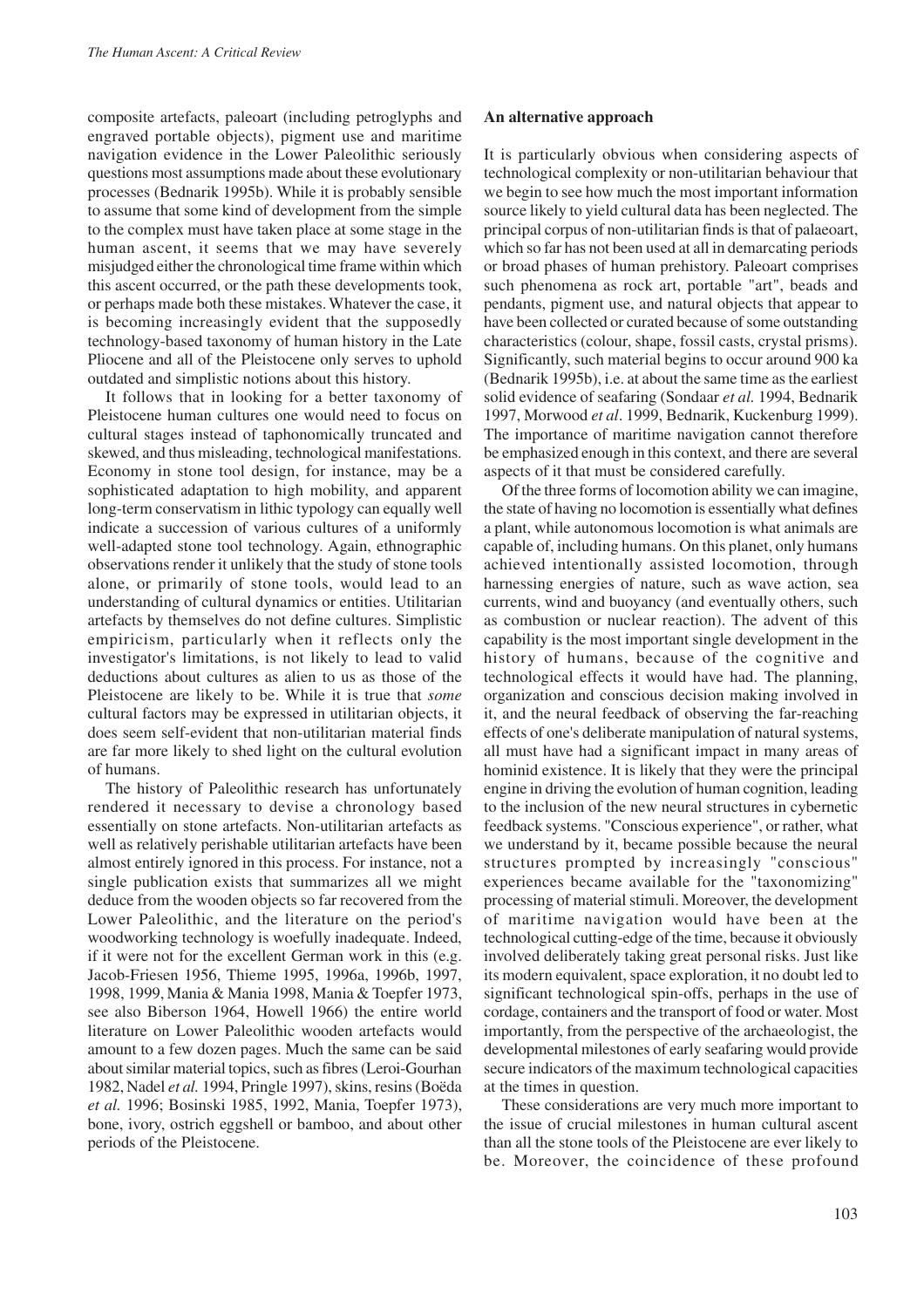composite artefacts, paleoart (including petroglyphs and engraved portable objects), pigment use and maritime navigation evidence in the Lower Paleolithic seriously questions most assumptions made about these evolutionary processes (Bednarik 1995b). While it is probably sensible to assume that some kind of development from the simple to the complex must have taken place at some stage in the human ascent, it seems that we may have severely misjudged either the chronological time frame within which this ascent occurred, or the path these developments took, or perhaps made both these mistakes. Whatever the case, it is becoming increasingly evident that the supposedly technology-based taxonomy of human history in the Late Pliocene and all of the Pleistocene only serves to uphold outdated and simplistic notions about this history.

It follows that in looking for a better taxonomy of Pleistocene human cultures one would need to focus on cultural stages instead of taphonomically truncated and skewed, and thus misleading, technological manifestations. Economy in stone tool design, for instance, may be a sophisticated adaptation to high mobility, and apparent long-term conservatism in lithic typology can equally well indicate a succession of various cultures of a uniformly well-adapted stone tool technology. Again, ethnographic observations render it unlikely that the study of stone tools alone, or primarily of stone tools, would lead to an understanding of cultural dynamics or entities. Utilitarian artefacts by themselves do not define cultures. Simplistic empiricism, particularly when it reflects only the investigator's limitations, is not likely to lead to valid deductions about cultures as alien to us as those of the Pleistocene are likely to be. While it is true that *some* cultural factors may be expressed in utilitarian objects, it does seem self-evident that non-utilitarian material finds are far more likely to shed light on the cultural evolution of humans.

The history of Paleolithic research has unfortunately rendered it necessary to devise a chronology based essentially on stone artefacts. Non-utilitarian artefacts as well as relatively perishable utilitarian artefacts have been almost entirely ignored in this process. For instance, not a single publication exists that summarizes all we might deduce from the wooden objects so far recovered from the Lower Paleolithic, and the literature on the period's woodworking technology is woefully inadequate. Indeed, if it were not for the excellent German work in this (e.g. Jacob-Friesen 1956, Thieme 1995, 1996a, 1996b, 1997, 1998, 1999, Mania & Mania 1998, Mania & Toepfer 1973, see also Biberson 1964, Howell 1966) the entire world literature on Lower Paleolithic wooden artefacts would amount to a few dozen pages. Much the same can be said about similar material topics, such as fibres (Leroi-Gourhan 1982, Nadel *et al.* 1994, Pringle 1997), skins, resins (Boëda *et al.* 1996; Bosinski 1985, 1992, Mania, Toepfer 1973), bone, ivory, ostrich eggshell or bamboo, and about other periods of the Pleistocene.

## **An alternative approach**

It is particularly obvious when considering aspects of technological complexity or non-utilitarian behaviour that we begin to see how much the most important information source likely to yield cultural data has been neglected. The principal corpus of non-utilitarian finds is that of palaeoart, which so far has not been used at all in demarcating periods or broad phases of human prehistory. Paleoart comprises such phenomena as rock art, portable "art", beads and pendants, pigment use, and natural objects that appear to have been collected or curated because of some outstanding characteristics (colour, shape, fossil casts, crystal prisms). Significantly, such material begins to occur around 900 ka (Bednarik 1995b), i.e. at about the same time as the earliest solid evidence of seafaring (Sondaar *et al.* 1994, Bednarik 1997, Morwood *et al*. 1999, Bednarik, Kuckenburg 1999). The importance of maritime navigation cannot therefore be emphasized enough in this context, and there are several aspects of it that must be considered carefully.

Of the three forms of locomotion ability we can imagine, the state of having no locomotion is essentially what defines a plant, while autonomous locomotion is what animals are capable of, including humans. On this planet, only humans achieved intentionally assisted locomotion, through harnessing energies of nature, such as wave action, sea currents, wind and buoyancy (and eventually others, such as combustion or nuclear reaction). The advent of this capability is the most important single development in the history of humans, because of the cognitive and technological effects it would have had. The planning, organization and conscious decision making involved in it, and the neural feedback of observing the far-reaching effects of one's deliberate manipulation of natural systems, all must have had a significant impact in many areas of hominid existence. It is likely that they were the principal engine in driving the evolution of human cognition, leading to the inclusion of the new neural structures in cybernetic feedback systems. "Conscious experience", or rather, what we understand by it, became possible because the neural structures prompted by increasingly "conscious" experiences became available for the "taxonomizing" processing of material stimuli. Moreover, the development of maritime navigation would have been at the technological cutting-edge of the time, because it obviously involved deliberately taking great personal risks. Just like its modern equivalent, space exploration, it no doubt led to significant technological spin-offs, perhaps in the use of cordage, containers and the transport of food or water. Most importantly, from the perspective of the archaeologist, the developmental milestones of early seafaring would provide secure indicators of the maximum technological capacities at the times in question.

These considerations are very much more important to the issue of crucial milestones in human cultural ascent than all the stone tools of the Pleistocene are ever likely to be. Moreover, the coincidence of these profound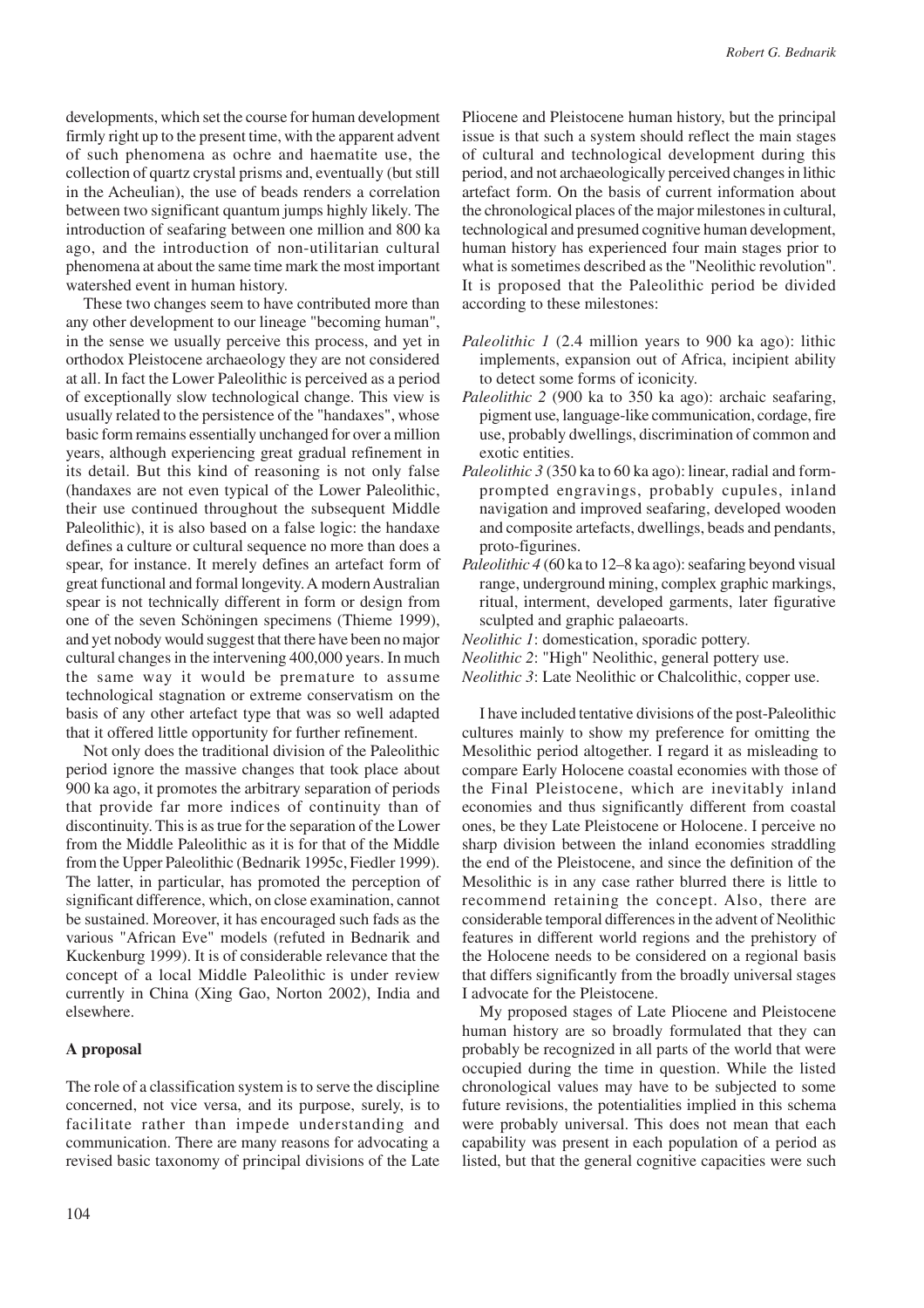developments, which set the course for human development firmly right up to the present time, with the apparent advent of such phenomena as ochre and haematite use, the collection of quartz crystal prisms and, eventually (but still in the Acheulian), the use of beads renders a correlation between two significant quantum jumps highly likely. The introduction of seafaring between one million and 800 ka ago, and the introduction of non-utilitarian cultural phenomena at about the same time mark the most important watershed event in human history.

These two changes seem to have contributed more than any other development to our lineage "becoming human", in the sense we usually perceive this process, and yet in orthodox Pleistocene archaeology they are not considered at all. In fact the Lower Paleolithic is perceived as a period of exceptionally slow technological change. This view is usually related to the persistence of the "handaxes", whose basic form remains essentially unchanged for over a million years, although experiencing great gradual refinement in its detail. But this kind of reasoning is not only false (handaxes are not even typical of the Lower Paleolithic, their use continued throughout the subsequent Middle Paleolithic), it is also based on a false logic: the handaxe defines a culture or cultural sequence no more than does a spear, for instance. It merely defines an artefact form of great functional and formal longevity. A modern Australian spear is not technically different in form or design from one of the seven Schöningen specimens (Thieme 1999), and yet nobody would suggest that there have been no major cultural changes in the intervening 400,000 years. In much the same way it would be premature to assume technological stagnation or extreme conservatism on the basis of any other artefact type that was so well adapted that it offered little opportunity for further refinement.

Not only does the traditional division of the Paleolithic period ignore the massive changes that took place about 900 ka ago, it promotes the arbitrary separation of periods that provide far more indices of continuity than of discontinuity. This is as true for the separation of the Lower from the Middle Paleolithic as it is for that of the Middle from the Upper Paleolithic (Bednarik 1995c, Fiedler 1999). The latter, in particular, has promoted the perception of significant difference, which, on close examination, cannot be sustained. Moreover, it has encouraged such fads as the various "African Eve" models (refuted in Bednarik and Kuckenburg 1999). It is of considerable relevance that the concept of a local Middle Paleolithic is under review currently in China (Xing Gao, Norton 2002), India and elsewhere.

#### **A proposal**

The role of a classification system is to serve the discipline concerned, not vice versa, and its purpose, surely, is to facilitate rather than impede understanding and communication. There are many reasons for advocating a revised basic taxonomy of principal divisions of the Late Pliocene and Pleistocene human history, but the principal issue is that such a system should reflect the main stages of cultural and technological development during this period, and not archaeologically perceived changes in lithic artefact form. On the basis of current information about the chronological places of the major milestones in cultural, technological and presumed cognitive human development, human history has experienced four main stages prior to what is sometimes described as the "Neolithic revolution". It is proposed that the Paleolithic period be divided according to these milestones:

- *Paleolithic 1* (2.4 million years to 900 ka ago): lithic implements, expansion out of Africa, incipient ability to detect some forms of iconicity.
- *Paleolithic 2* (900 ka to 350 ka ago): archaic seafaring, pigment use, language-like communication, cordage, fire use, probably dwellings, discrimination of common and exotic entities.
- *Paleolithic 3* (350 ka to 60 ka ago): linear, radial and formprompted engravings, probably cupules, inland navigation and improved seafaring, developed wooden and composite artefacts, dwellings, beads and pendants, proto-figurines.
- *Paleolithic 4* (60 ka to 12–8 ka ago): seafaring beyond visual range, underground mining, complex graphic markings, ritual, interment, developed garments, later figurative sculpted and graphic palaeoarts.

*Neolithic 1*: domestication, sporadic pottery.

*Neolithic 3*: Late Neolithic or Chalcolithic, copper use.

I have included tentative divisions of the post-Paleolithic cultures mainly to show my preference for omitting the Mesolithic period altogether. I regard it as misleading to compare Early Holocene coastal economies with those of the Final Pleistocene, which are inevitably inland economies and thus significantly different from coastal ones, be they Late Pleistocene or Holocene. I perceive no sharp division between the inland economies straddling the end of the Pleistocene, and since the definition of the Mesolithic is in any case rather blurred there is little to recommend retaining the concept. Also, there are considerable temporal differences in the advent of Neolithic features in different world regions and the prehistory of the Holocene needs to be considered on a regional basis that differs significantly from the broadly universal stages I advocate for the Pleistocene.

My proposed stages of Late Pliocene and Pleistocene human history are so broadly formulated that they can probably be recognized in all parts of the world that were occupied during the time in question. While the listed chronological values may have to be subjected to some future revisions, the potentialities implied in this schema were probably universal. This does not mean that each capability was present in each population of a period as listed, but that the general cognitive capacities were such

*Neolithic 2*: "High" Neolithic, general pottery use.